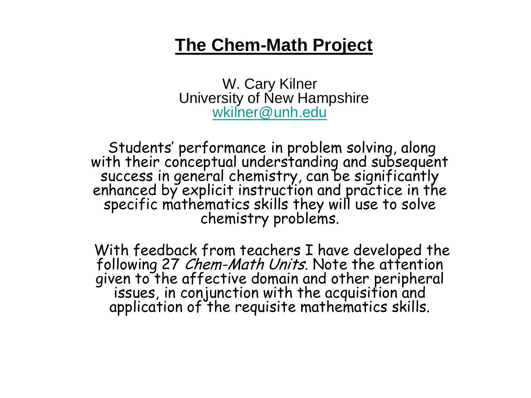#### **The Chem-Math Project**

W. Cary Kilner University of New Hampshire [wkilner@unh.edu](mailto:wkilner@unh.edu)

Students' performance in problem solving, along with their conceptual understanding and subsequent success in general chemistry, can be significantly enhanced by explicit instruction and practice in the specific mathematics skills they will use to solve chemistry problems.

With feedback from teachers I have developed the following 27 *Chem-Math Units*. Note the attention given to the affective domain and other peripheral given to the affective domain and other peripheral<br>issues, in conjunction with the acquisition and application of the requisite mathematics skills.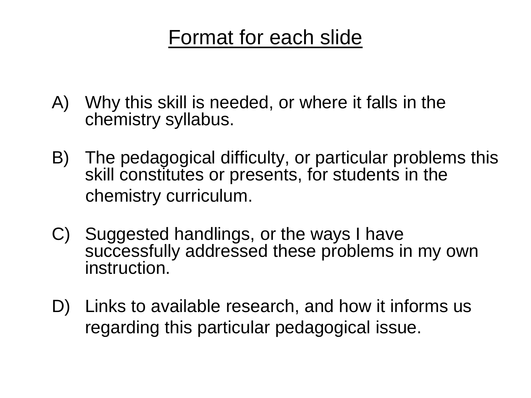# Format for each slide

- A) Why this skill is needed, or where it falls in the chemistry syllabus.
- B) The pedagogical difficulty, or particular problems this skill constitutes or presents, for students in the chemistry curriculum.
- C) Suggested handlings, or the ways I have successfully addressed these problems in my own instruction.
- D) Links to available research, and how it informs us regarding this particular pedagogical issue.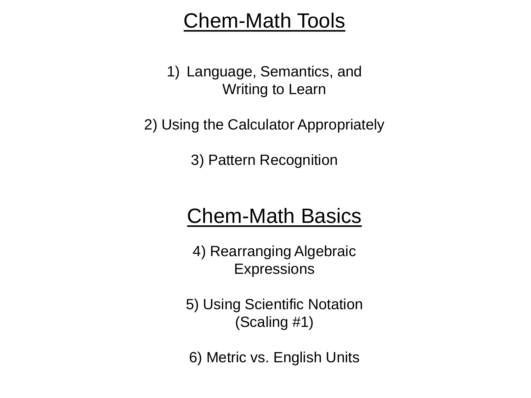# Chem-Math Tools

1) Language, Semantics, and Writing to Learn

2) Using the Calculator Appropriately

3) Pattern Recognition

# Chem-Math Basics

4) Rearranging Algebraic **Expressions** 

5) Using Scientific Notation (Scaling #1)

6) Metric vs. English Units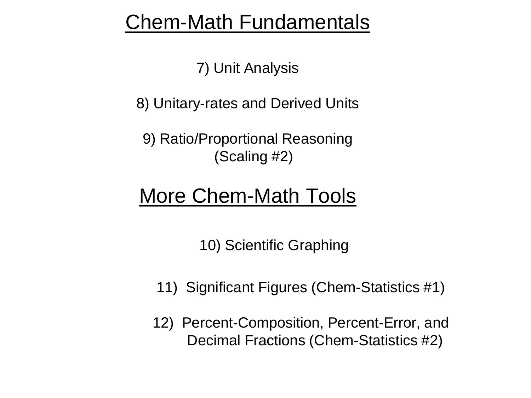# Chem-Math Fundamentals

7) Unit Analysis

8) Unitary-rates and Derived Units

9) Ratio/Proportional Reasoning (Scaling #2)

# More Chem-Math Tools

10) Scientific Graphing

- 11) Significant Figures (Chem-Statistics #1)
- 12) Percent-Composition, Percent-Error, and Decimal Fractions (Chem-Statistics #2)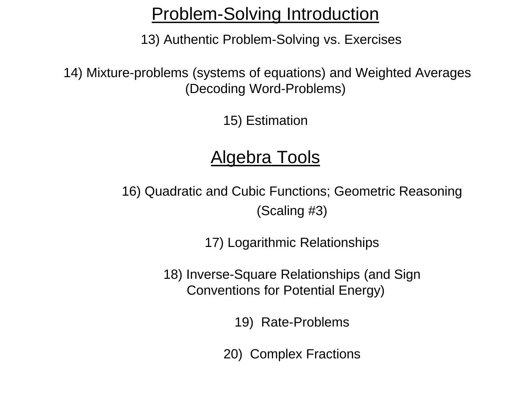#### Problem-Solving Introduction

13) Authentic Problem-Solving vs. Exercises

14) Mixture-problems (systems of equations) and Weighted Averages (Decoding Word-Problems)

15) Estimation

## Algebra Tools

16) Quadratic and Cubic Functions; Geometric Reasoning (Scaling #3)

17) Logarithmic Relationships

18) Inverse-Square Relationships (and Sign Conventions for Potential Energy)

19) Rate-Problems

20) Complex Fractions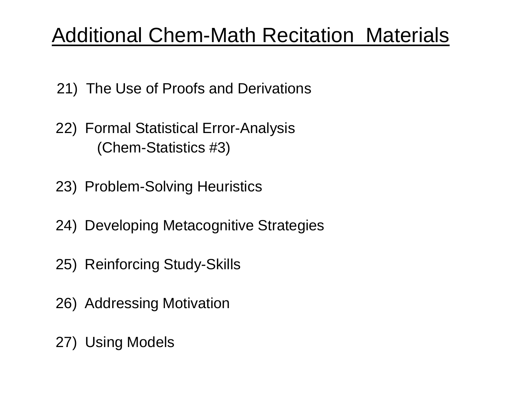# Additional Chem-Math Recitation Materials

- 21) The Use of Proofs and Derivations
- 22) Formal Statistical Error-Analysis (Chem-Statistics #3)
- 23) Problem-Solving Heuristics
- 24) Developing Metacognitive Strategies
- 25) Reinforcing Study-Skills
- 26) Addressing Motivation
- 27) Using Models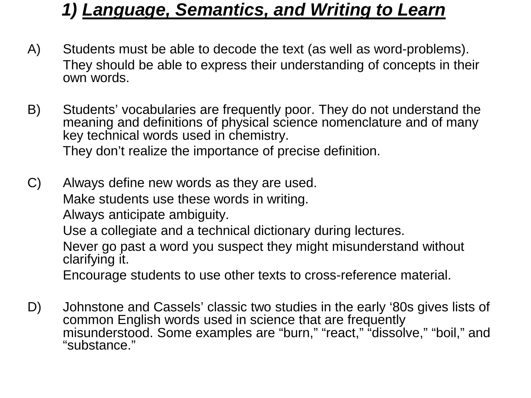### *1) Language, Semantics, and Writing to Learn*

- A) Students must be able to decode the text (as well as word-problems). They should be able to express their understanding of concepts in their own words.
- B) Students' vocabularies are frequently poor. They do not understand the meaning and definitions of physical science nomenclature and of many key technical words used in chemistry. They don't realize the importance of precise definition.
- C) Always define new words as they are used. Make students use these words in writing. Always anticipate ambiguity.

Use a collegiate and a technical dictionary during lectures.

Never go past a word you suspect they might misunderstand without clarifying it.

Encourage students to use other texts to cross-reference material.

D) Johnstone and Cassels' classic two studies in the early '80s gives lists of common English words used in science that are frequently misunderstood. Some examples are "burn," "react," "dissolve," "boil," and "substance."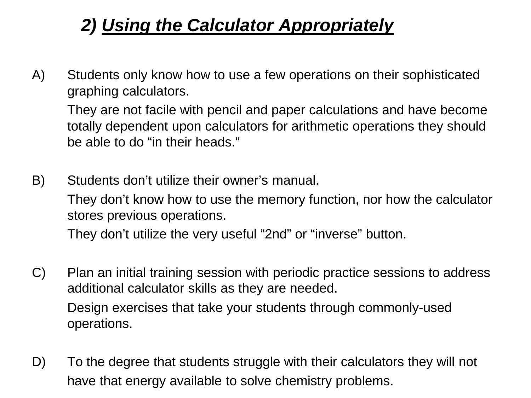# *2) Using the Calculator Appropriately*

A) Students only know how to use a few operations on their sophisticated graphing calculators.

They are not facile with pencil and paper calculations and have become totally dependent upon calculators for arithmetic operations they should be able to do "in their heads."

B) Students don't utilize their owner's manual.

They don't know how to use the memory function, nor how the calculator stores previous operations.

They don't utilize the very useful "2nd" or "inverse" button.

- C) Plan an initial training session with periodic practice sessions to address additional calculator skills as they are needed. Design exercises that take your students through commonly-used operations.
- D) To the degree that students struggle with their calculators they will not have that energy available to solve chemistry problems.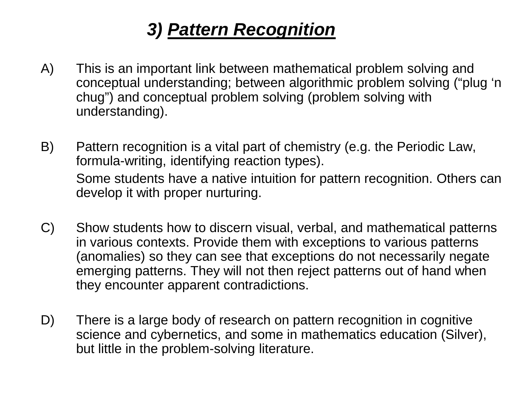# *3) Pattern Recognition*

- A) This is an important link between mathematical problem solving and conceptual understanding; between algorithmic problem solving ("plug 'n chug") and conceptual problem solving (problem solving with understanding).
- B) Pattern recognition is a vital part of chemistry (e.g. the Periodic Law, formula-writing, identifying reaction types). Some students have a native intuition for pattern recognition. Others can develop it with proper nurturing.
- C) Show students how to discern visual, verbal, and mathematical patterns in various contexts. Provide them with exceptions to various patterns (anomalies) so they can see that exceptions do not necessarily negate emerging patterns. They will not then reject patterns out of hand when they encounter apparent contradictions.
- D) There is a large body of research on pattern recognition in cognitive science and cybernetics, and some in mathematics education (Silver), but little in the problem-solving literature.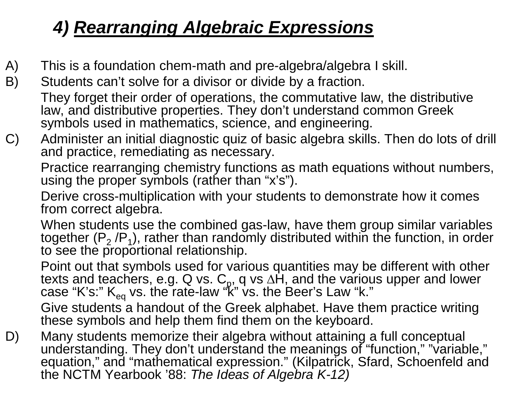# *4) Rearranging Algebraic Expressions*

- A) This is a foundation chem-math and pre-algebra/algebra I skill.
- B) Students can't solve for a divisor or divide by a fraction. They forget their order of operations, the commutative law, the distributive law, and distributive properties. They don't understand common Greek symbols used in mathematics, science, and engineering.
- C) Administer an initial diagnostic quiz of basic algebra skills. Then do lots of drill and practice, remediating as necessary.

Practice rearranging chemistry functions as math equations without numbers, using the proper symbols (rather than "x's").

Derive cross-multiplication with your students to demonstrate how it comes from correct algebra.

When students use the combined gas-law, have them group similar variables together ( $P_2 / P_1$ ), rather than randomly distributed within the function, in order to see the proportional relationship.

Point out that symbols used for various quantities may be different with other texts and teachers, e.g. Q vs. C<sub>p</sub>, q vs ∆H, and the various upper and lower case "K's:" K<sub>eq</sub> vs. the rate-law "k" vs. the Beer's Law "k."

Give students a handout of the Greek alphabet. Have them practice writing these symbols and help them find them on the keyboard.

D) Many students memorize their algebra without attaining a full conceptual understanding. They don't understand the meanings of "function," "variable," equation," and "mathematical expression." (Kilpatrick, Sfard, Schoenfeld and the NCTM Yearbook '88: *The Ideas of Algebra K-12)*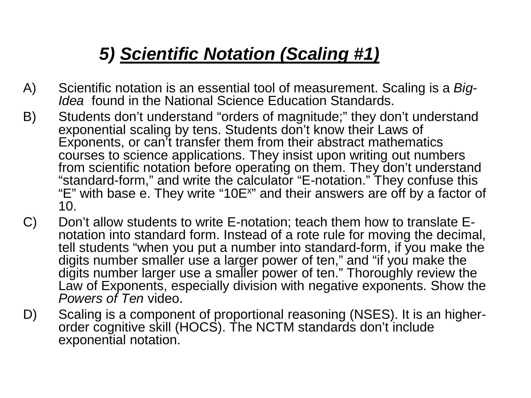# *5) Scientific Notation (Scaling #1)*

- A) Scientific notation is an essential tool of measurement. Scaling is a *Big- Idea* found in the National Science Education Standards.
- B) Students don't understand "orders of magnitude;" they don't understand exponential scaling by tens. Students don't know their Laws of Exponents, or can't transfer them from their abstract mathematics courses to science applications. They insist upon writing out numbers from scientific notation before operating on them. They don't understand "standard-form," and write the calculator "E-notation." They confuse this "E" with base e. They write "10E<sup>x"</sup> and their answers are off by a factor of 10.
- C) Don't allow students to write E-notation; teach them how to translate E-<br>notation into standard form. Instead of a rote rule for moving the decimal, tell students "when you put a number into standard-form, if you make the digits number smaller use a larger power of ten," and "if you make the digits number larger use a smaller power of ten." Thoroughly review the Law of Exponents, especially division with negative exponents. Show the *Powers of Ten* video.
- D) Scaling is a component of proportional reasoning (NSES). It is an higher-<br>order cognitive skill (HOCS). The NCTM standards don't include exponential notation.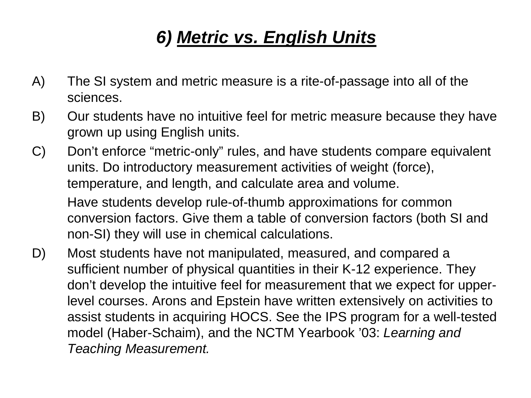# *6) Metric vs. English Units*

- A) The SI system and metric measure is a rite-of-passage into all of the sciences.
- B) Our students have no intuitive feel for metric measure because they have grown up using English units.
- C) Don't enforce "metric-only" rules, and have students compare equivalent units. Do introductory measurement activities of weight (force), temperature, and length, and calculate area and volume. Have students develop rule-of-thumb approximations for common conversion factors. Give them a table of conversion factors (both SI and non-SI) they will use in chemical calculations.
- D) Most students have not manipulated, measured, and compared a sufficient number of physical quantities in their K-12 experience. They don't develop the intuitive feel for measurement that we expect for upperlevel courses. Arons and Epstein have written extensively on activities to assist students in acquiring HOCS. See the IPS program for a well-tested model (Haber-Schaim), and the NCTM Yearbook '03: *Learning and Teaching Measurement.*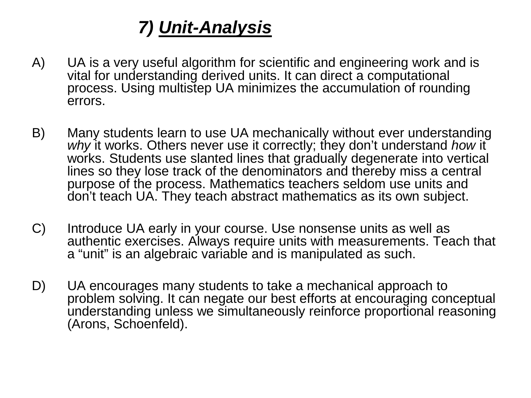# *7) Unit-Analysis*

- A) UA is a very useful algorithm for scientific and engineering work and is vital for understanding derived units. It can direct a computational process. Using multistep UA minimizes the accumulation of rounding errors.
- B) Many students learn to use UA mechanically without ever understanding *why* it works. Others never use it correctly; they don't understand *how* it works. Students use slanted lines that gradually degenerate into vertical lines so they lose track of the denominators and thereby miss a central purpose of the process. Mathematics teachers seldom use units and don't teach UA. They teach abstract mathematics as its own subject.
- C) Introduce UA early in your course. Use nonsense units as well as authentic exercises. Always require units with measurements. Teach that a "unit" is an algebraic variable and is manipulated as such.
- D) UA encourages many students to take a mechanical approach to problem solving. It can negate our best efforts at encouraging conceptual understanding unless we simultaneously reinforce proportional reasoning (Arons, Schoenfeld).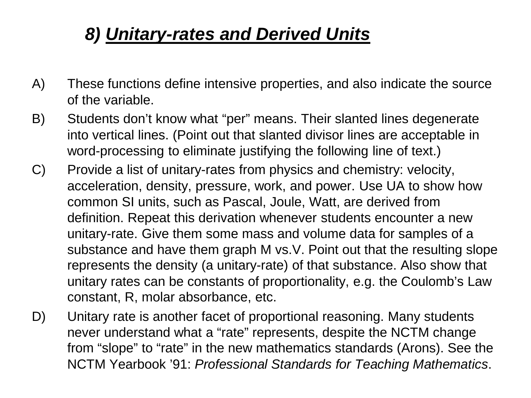# *8) Unitary-rates and Derived Units*

- A) These functions define intensive properties, and also indicate the source of the variable.
- B) Students don't know what "per" means. Their slanted lines degenerate into vertical lines. (Point out that slanted divisor lines are acceptable in word-processing to eliminate justifying the following line of text.)
- C) Provide a list of unitary-rates from physics and chemistry: velocity, acceleration, density, pressure, work, and power. Use UA to show how common SI units, such as Pascal, Joule, Watt, are derived from definition. Repeat this derivation whenever students encounter a new unitary-rate. Give them some mass and volume data for samples of a substance and have them graph M vs.V. Point out that the resulting slope represents the density (a unitary-rate) of that substance. Also show that unitary rates can be constants of proportionality, e.g. the Coulomb's Law constant, R, molar absorbance, etc.
- D) Unitary rate is another facet of proportional reasoning. Many students never understand what a "rate" represents, despite the NCTM change from "slope" to "rate" in the new mathematics standards (Arons). See the NCTM Yearbook '91: *Professional Standards for Teaching Mathematics*.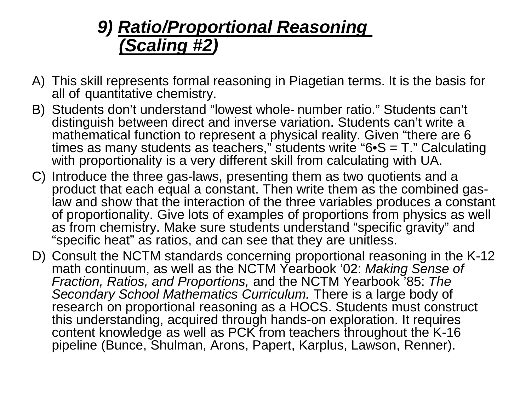### *9) Ratio/Proportional Reasoning (Scaling #2)*

- A) This skill represents formal reasoning in Piagetian terms. It is the basis for all of quantitative chemistry.
- B) Students don't understand "lowest whole- number ratio." Students can't distinguish between direct and inverse variation. Students can't write a mathematical function to represent a physical reality. Given "there are 6 times as many students as teachers," students write " $6 \cdot S = T$ ." Calculating with proportionality is a very different skill from calculating with UA.
- C) Introduce the three gas-laws, presenting them as two quotients and a product that each equal a constant. Then write them as the combined gaslaw and show that the interaction of the three variables produces a constant of proportionality. Give lots of examples of proportions from physics as well as from chemistry. Make sure students understand "specific gravity" and "specific heat" as ratios, and can see that they are unitless.
- D) Consult the NCTM standards concerning proportional reasoning in the K-12 math continuum, as well as the NCTM Yearbook '02: *Making Sense of Fraction, Ratios, and Proportions,* and the NCTM Yearbook '85: *The Secondary School Mathematics Curriculum.* There is a large body of research on proportional reasoning as a HOCS. Students must construct this understanding, acquired through hands-on exploration. It requires content knowledge as well as PCK from teachers throughout the K-16 pipeline (Bunce, Shulman, Arons, Papert, Karplus, Lawson, Renner).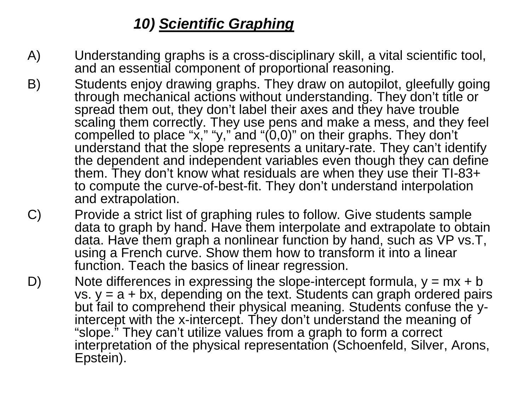#### *10) Scientific Graphing*

- A) Understanding graphs is a cross-disciplinary skill, a vital scientific tool, and an essential component of proportional reasoning.
- B) Students enjoy drawing graphs. They draw on autopilot, gleefully going through mechanical actions without understanding. They don't title or spread them out, they don't label their axes and they have trouble scaling them correctly. They use pens and make a mess, and they feel compelled to place "x," "y," and "(0,0)" on their graphs. They don't understand that the slope represents a unitary-rate. They can't identify the dependent and independent variables even though they can define them. They don't know what residuals are when they use their TI-83+ to compute the curve-of-best-fit. They don't understand interpolation and extrapolation.
- C) Provide a strict list of graphing rules to follow. Give students sample data to graph by hand. Have them interpolate and extrapolate to obtain data. Have them graph a nonlinear function by hand, such as VP vs.T, using a French curve. Show them how to transform it into a linear function. Teach the basics of linear regression.
- D) Note differences in expressing the slope-intercept formula,  $y = mx + b$ vs.  $y = a + bx$ , depending on the text. Students can graph ordered pairs but fail to comprehend their physical meaning. Students confuse the y- intercept with the x-intercept. They don't understand the meaning of "slope." They can't utilize values from a graph to form a correct interpretation of the physical representation (Schoenfeld, Silver, Arons, Epstein).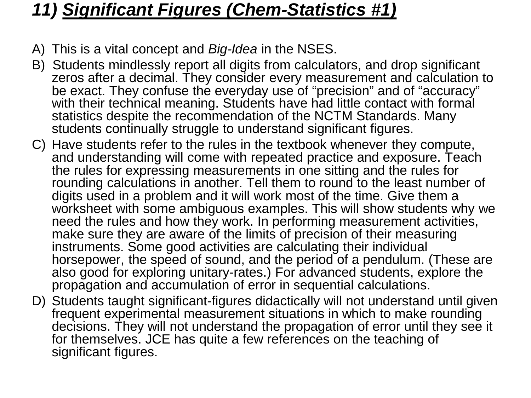#### *11) Significant Figures (Chem-Statistics #1)*

- A) This is a vital concept and *Big-Idea* in the NSES.
- B) Students mindlessly report all digits from calculators, and drop significant zeros after a decimal. They consider every measurement and calculation to be exact. They confuse the everyday use of "precision" and of "accuracy" with their technical meaning. Students have had little contact with formal statistics despite the recommendation of the NCTM Standards. Many students continually struggle to understand significant figures.
- C) Have students refer to the rules in the textbook whenever they compute, and understanding will come with repeated practice and exposure. Teach the rules for expressing measurements in one sitting and the rules for rounding calculations in another. Tell them to round to the least number of digits used in a problem and it will work most of the time. Give them a worksheet with some ambiguous examples. This will show students why we need the rules and how they work. In performing measurement activities, make sure they are aware of the limits of precision of their measuring instruments. Some good activities are calculating their individual horsepower, the speed of sound, and the period of a pendulum. (These are also good for exploring unitary-rates.) For advanced students, explore the propagation and accumulation of error in sequential calculations.
- D) Students taught significant-figures didactically will not understand until given frequent experimental measurement situations in which to make rounding decisions. They will not understand the propagation of error until they see it for themselves. JCE has quite a few references on the teaching of significant figures.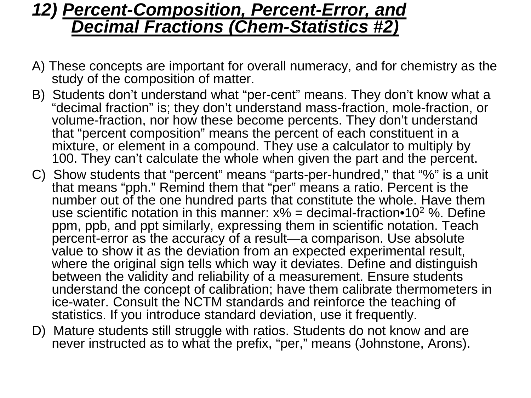#### *12) Percent-Composition, Percent-Error, and Decimal Fractions (Chem-Statistics #2)*

- A) These concepts are important for overall numeracy, and for chemistry as the study of the composition of matter.
- B) Students don't understand what "per-cent" means. They don't know what a "decimal fraction" is; they don't understand mass-fraction, mole-fraction, or volume-fraction, nor how these become percents. They don't understand that "percent composition" means the percent of each constituent in a mixture, or element in a compound. They use a calculator to multiply by 100. They can't calculate the whole when given the part and the percent.
- C) Show students that "percent" means "parts-per-hundred," that "%" is a unit that means "pph." Remind them that "per" means a ratio. Percent is the number out of the one hundred parts that constitute the whole. Have them use scientific notation in this manner:  $x\%$  = decimal-fraction•10<sup>2</sup> %. Define ppm, ppb, and ppt similarly, expressing them in scientific notation. Teach percent-error as the accuracy of a result-a comparison. Use absolute value to show it as the deviation from an expected experimental result, where the original sign tells which way it deviates. Define and distinguish between the validity and reliability of a measurement. Ensure students understand the concept of calibration; have them calibrate thermometers in ice-water. Consult the NCTM standards and reinforce the teaching of statistics. If you introduce standard deviation, use it frequently.
- D) Mature students still struggle with ratios. Students do not know and are never instructed as to what the prefix, "per," means (Johnstone, Arons).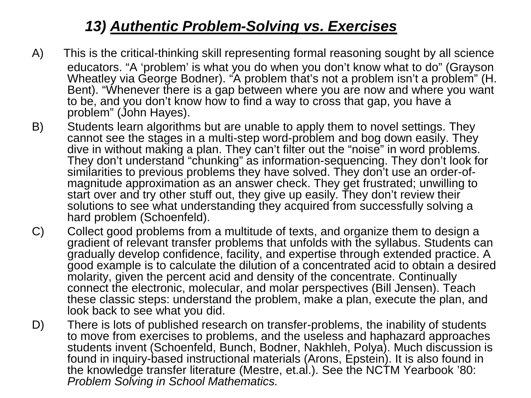#### *13) Authentic Problem-Solving vs. Exercises*

- A) This is the critical-thinking skill representing formal reasoning sought by all science educators. "A 'problem' is what you do when you don't know what to do" (Grayson Wheatley via George Bodner). "A problem that's not a problem isn't a problem" (H. Bent). "Whenever there is a gap between where you are now and where you want to be, and you don't know how to find a way to cross that gap, you have a problem" (John Hayes).
- B) Students learn algorithms but are unable to apply them to novel settings. They cannot see the stages in a multi-step word-problem and bog down easily. They dive in without making a plan. They can't filter out the "noise" in word problems. They don't understand "chunking" as information-sequencing. They don't look for magnitude approximation as an answer check. They get frustrated; unwilling to start over and try other stuff out, they give up easily. They don't review their solutions to see what understanding they acquired from successfully solving a hard problem (Schoenfeld).
- C) Collect good problems from a multitude of texts, and organize them to design a gradient of relevant transfer problems that unfolds with the syllabus. Students can gradually develop confidence, facility, and expertise through extended practice. A good example is to calculate the dilution of a concentrated acid to obtain a desired molarity, given the percent acid and density of the concentrate. Continually connect the electronic, molecular, and molar perspectives (Bill Jensen). Teach these classic steps: understand the problem, make a plan, execute the plan, and look back to see what you did.
- D) There is lots of published research on transfer-problems, the inability of students to move from exercises to problems, and the useless and haphazard approaches students invent (Schoenfeld, Bunch, Bodner, Nakhleh, Polya). Much discussion is found in inquiry-based instructional materials (Arons, Epstein). It is also found in the knowledge transfer literature (Mestre, et.al.). See the NCTM Yearbook '80: *Problem Solving in School Mathematics.*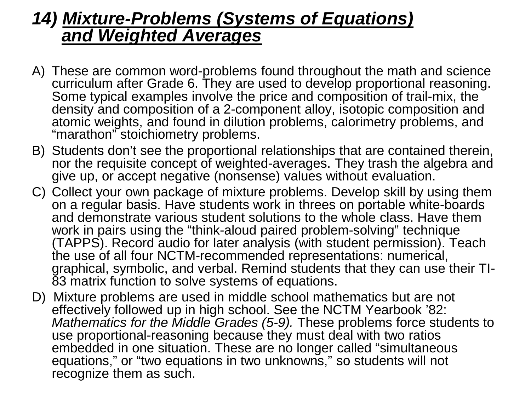#### *14) Mixture-Problems (Systems of Equations) and Weighted Averages*

- A) These are common word-problems found throughout the math and science curriculum after Grade 6. They are used to develop proportional reasoning. Some typical examples involve the price and composition of trail-mix, the density and composition of a 2-component alloy, isotopic composition and atomic weights, and found in dilution problems, calorimetry problems, and "marathon" stoichiometry problems.
- B) Students don't see the proportional relationships that are contained therein, nor the requisite concept of weighted-averages. They trash the algebra and give up, or accept negative (nonsense) values without evaluation.
- C) Collect your own package of mixture problems. Develop skill by using them on a regular basis. Have students work in threes on portable white-boards and demonstrate various student solutions to the whole class. Have them work in pairs using the "think-aloud paired problem-solving" technique (TAPPS). Record audio for later analysis (with student permission). Teach the use of all four NCTM-recommended representations: numerical, graphical, symbolic, and verbal. Remind students that they can use their TI-<br>83 matrix function to solve systems of equations.
- D) Mixture problems are used in middle school mathematics but are not effectively followed up in high school. See the NCTM Yearbook '82: *Mathematics for the Middle Grades (5-9).* These problems force students to use proportional-reasoning because they must deal with two ratios embedded in one situation. These are no longer called "simultaneous equations," or "two equations in two unknowns," so students will not recognize them as such.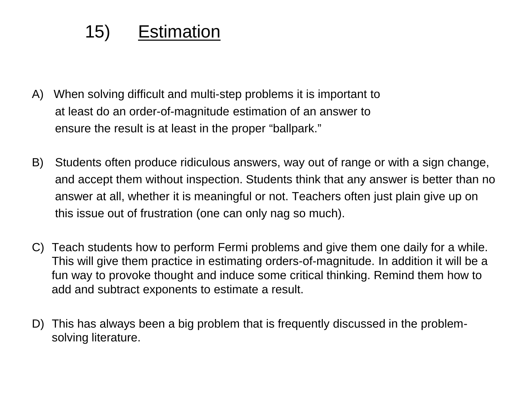### 15) Estimation

- A) When solving difficult and multi-step problems it is important to at least do an order-of-magnitude estimation of an answer to ensure the result is at least in the proper "ballpark."
- B) Students often produce ridiculous answers, way out of range or with a sign change, and accept them without inspection. Students think that any answer is better than no answer at all, whether it is meaningful or not. Teachers often just plain give up on this issue out of frustration (one can only nag so much).
- C) Teach students how to perform Fermi problems and give them one daily for a while. This will give them practice in estimating orders-of-magnitude. In addition it will be a fun way to provoke thought and induce some critical thinking. Remind them how to add and subtract exponents to estimate a result.
- D) This has always been a big problem that is frequently discussed in the problemsolving literature.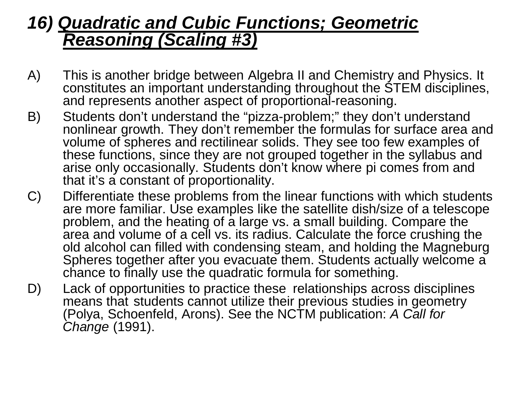#### *16) Quadratic and Cubic Functions; Geometric Reasoning (Scaling #3)*

- A) This is another bridge between Algebra II and Chemistry and Physics. It constitutes an important understanding throughout the STEM disciplines, and represents another aspect of proportional-reasoning.
- B) Students don't understand the "pizza-problem;" they don't understand nonlinear growth. They don't remember the formulas for surface area and volume of spheres and rectilinear solids. They see too few examples of these functions, since they are not grouped together in the syllabus and arise only occasionally. Students don't know where pi comes from and that it's a constant of proportionality.
- C) Differentiate these problems from the linear functions with which students are more familiar. Use examples like the satellite dish/size of a telescope problem, and the heating of a large vs. a small building. Compare the area and volume of a cell vs. its radius. Calculate the force crushing the old alcohol can filled with condensing steam, and holding the Magneburg Spheres together after you evacuate them. Students actually welcome a chance to finally use the quadratic formula for something.
- D) Lack of opportunities to practice these relationships across disciplines means that students cannot utilize their previous studies in geometry (Polya, Schoenfeld, Arons). See the NCTM publication: *A Call for Change* (1991).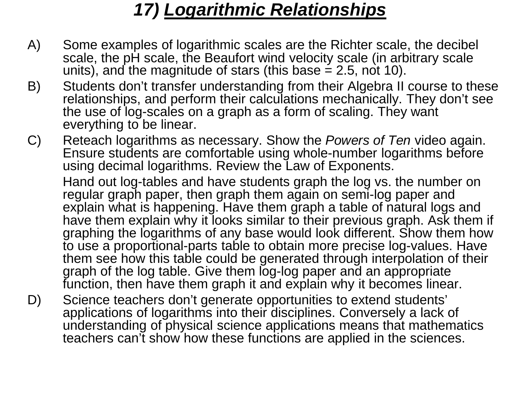### *17) Logarithmic Relationships*

- A) Some examples of logarithmic scales are the Richter scale, the decibel scale, the pH scale, the Beaufort wind velocity scale (in arbitrary scale units), and the magnitude of stars (this base  $= 2.5$ , not 10).
- B) Students don't transfer understanding from their Algebra II course to these relationships, and perform their calculations mechanically. They don't see the use of log-scales on a graph as a form of scaling. They want everything to be linear.
- C) Reteach logarithms as necessary. Show the *Powers of Ten* video again. Ensure students are comfortable using whole-number logarithms before using decimal logarithms. Review the Law of Exponents.

Hand out log-tables and have students graph the log vs. the number on regular graph paper, then graph them again on semi-log paper and explain what is happening. Have them graph a table of natural logs and have them explain why it looks similar to their previous graph. Ask them if graphing the logarithms of any base would look different. Show them how to use a proportional-parts table to obtain more precise log-values. Have them see how this table could be generated through interpolation of their graph of the log table. Give them log-log paper and an appropriate function, then have them graph it and explain why it becomes linear.

D) Science teachers don't generate opportunities to extend students' applications of logarithms into their disciplines. Conversely a lack of understanding of physical science applications means that mathematics teachers can't show how these functions are applied in the sciences.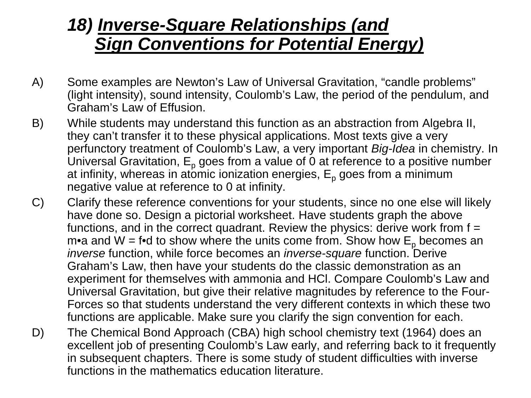### *18) Inverse-Square Relationships (and Sign Conventions for Potential Energy)*

- A) Some examples are Newton's Law of Universal Gravitation, "candle problems" (light intensity), sound intensity, Coulomb's Law, the period of the pendulum, and Graham's Law of Effusion.
- B) While students may understand this function as an abstraction from Algebra II, they can't transfer it to these physical applications. Most texts give a very perfunctory treatment of Coulomb's Law, a very important *Big-Idea* in chemistry. In Universal Gravitation,  $E_p$  goes from a value of 0 at reference to a positive number at infinity, whereas in atomic ionization energies,  $E_p$  goes from a minimum negative value at reference to 0 at infinity.
- C) Clarify these reference conventions for your students, since no one else will likely have done so. Design a pictorial worksheet. Have students graph the above functions, and in the correct quadrant. Review the physics: derive work from  $f =$ m•a and W = f•d to show where the units come from. Show how  $E_p$  becomes an *inverse* function, while force becomes an *inverse-square* function. Derive Graham's Law, then have your students do the classic demonstration as an experiment for themselves with ammonia and HCl. Compare Coulomb's Law and Universal Gravitation, but give their relative magnitudes by reference to the Four-Forces so that students understand the very different contexts in which these two functions are applicable. Make sure you clarify the sign convention for each.
- D) The Chemical Bond Approach (CBA) high school chemistry text (1964) does an excellent job of presenting Coulomb's Law early, and referring back to it frequently in subsequent chapters. There is some study of student difficulties with inverse functions in the mathematics education literature.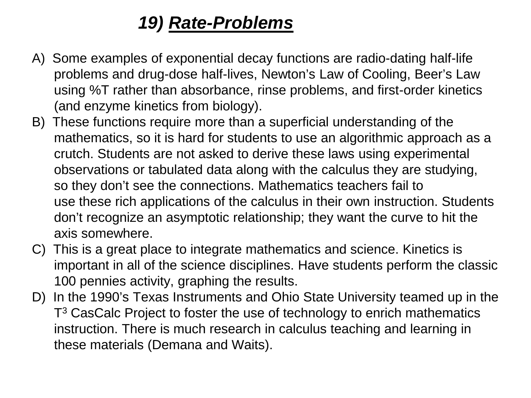### *19) Rate-Problems*

- A) Some examples of exponential decay functions are radio-dating half-life problems and drug-dose half-lives, Newton's Law of Cooling, Beer's Law using %T rather than absorbance, rinse problems, and first-order kinetics (and enzyme kinetics from biology).
- B) These functions require more than a superficial understanding of the mathematics, so it is hard for students to use an algorithmic approach as a crutch. Students are not asked to derive these laws using experimental observations or tabulated data along with the calculus they are studying, so they don't see the connections. Mathematics teachers fail to use these rich applications of the calculus in their own instruction. Students don't recognize an asymptotic relationship; they want the curve to hit the axis somewhere.
- C) This is a great place to integrate mathematics and science. Kinetics is important in all of the science disciplines. Have students perform the classic 100 pennies activity, graphing the results.
- D) In the 1990's Texas Instruments and Ohio State University teamed up in the T<sup>3</sup> CasCalc Project to foster the use of technology to enrich mathematics instruction. There is much research in calculus teaching and learning in these materials (Demana and Waits).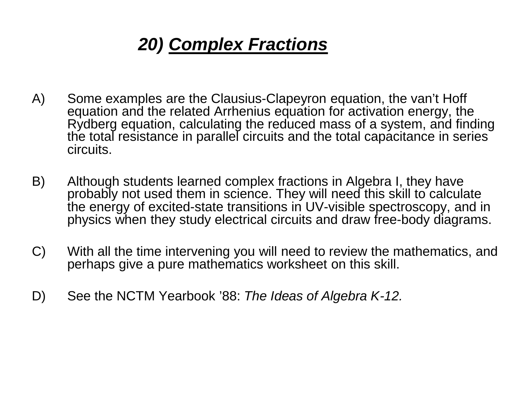# *20) Complex Fractions*

- A) Some examples are the Clausius-Clapeyron equation, the van't Hoff equation and the related Arrhenius equation for activation energy, the Rydberg equation, calculating the reduced mass of a system, and finding the total resistance in parallel circuits and the total capacitance in series circuits.
- B) Although students learned complex fractions in Algebra I, they have probably not used them in science. They will need this skill to calculate the energy of excited-state transitions in UV-visible spectroscopy, and in physics when they study electrical circuits and draw free-body diagrams.
- C) With all the time intervening you will need to review the mathematics, and perhaps give a pure mathematics worksheet on this skill.
- D) See the NCTM Yearbook '88: *The Ideas of Algebra K-12.*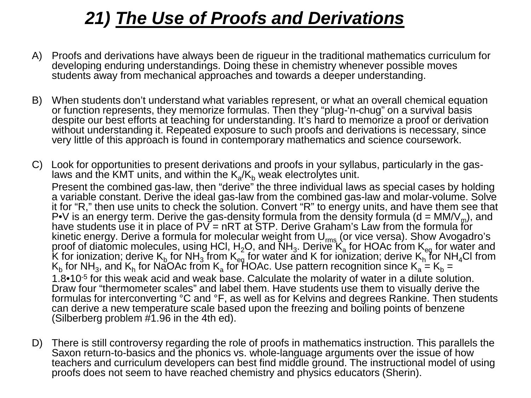## *21) The Use of Proofs and Derivations*

- A) Proofs and derivations have always been de rigueur in the traditional mathematics curriculum for developing enduring understandings. Doing these in chemistry whenever possible moves students away from mechanical approaches and towards a deeper understanding.
- B) When students don't understand what variables represent, or what an overall chemical equation or function represents, they memorize formulas. Then they "plug-'n-chug" on a survival basis despite our best efforts at teaching for understanding. It's hard to memorize a proof or derivation without understanding it. Repeated exposure to such proofs and derivations is necessary, since very little of this approach is found in contemporary mathematics and science coursework.
- C) Look for opportunities to present derivations and proofs in your syllabus, particularly in the gas-<br>laws and the KMT units, and within the K<sub>a</sub>/K<sub>b</sub> weak electrolytes unit.

Present the combined gas-law, then "derive" the three individual laws as special cases by holding a variable constant. Derive the ideal gas-law from the combined gas-law and molar-volume. Solve it for "R," then use units to check the solution. Convert "R" to energy units, and have them see that P•V is an energy term. Derive the gas-density formula from the density formula (d = MM/V<sub>m</sub>), and have students use it in place of  $PV = nRT$  at STP. Derive Graham's Law from the formula for kinetic energy. Derive a formula for molecular weight from U<sub>rms</sub> (or vice versa). Show Avogadro's proof of diatomic molecules, using HCl,  $H_2O$ , and NH<sub>3</sub>. Derive K<sub>a</sub> for HOAc from K<sub>eq</sub> for water and K for ionization; derive  $K_b$  for NH<sub>3</sub> from  $K_{eq}$  for water and K for ionization; derive  $K_h$  for NH<sub>4</sub>Cl from K $_{\rm b}$  for NH $_{\rm 3}$ , and K $_{\rm h}$  for NaOAc from K $_{\rm a}$  for HOAc. Use pattern recognition since K $_{\rm a}$  = K $_{\rm b}$  = 1.8•10-5 for this weak acid and weak base. Calculate the molarity of water in a dilute solution. Draw four "thermometer scales" and label them. Have students use them to visually derive the formulas for interconverting °C and °F, as well as for Kelvins and degrees Rankine. Then students can derive a new temperature scale based upon the freezing and boiling points of benzene (Silberberg problem #1.96 in the 4th ed).

D) There is still controversy regarding the role of proofs in mathematics instruction. This parallels the Saxon return-to-basics and the phonics vs. whole-language arguments over the issue of how teachers and curriculum developers can best find middle ground. The instructional model of using proofs does not seem to have reached chemistry and physics educators (Sherin).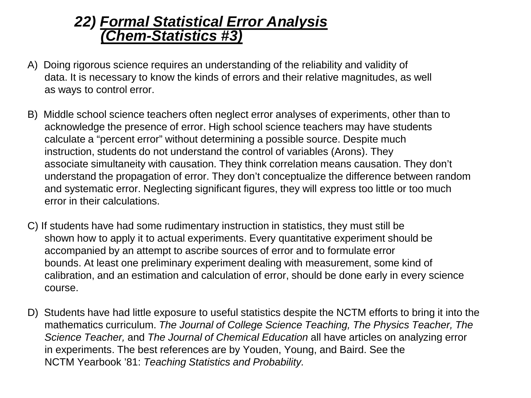#### *22) Formal Statistical Error Analysis (Chem-Statistics #3)*

- A) Doing rigorous science requires an understanding of the reliability and validity of data. It is necessary to know the kinds of errors and their relative magnitudes, as well as ways to control error.
- B) Middle school science teachers often neglect error analyses of experiments, other than to acknowledge the presence of error. High school science teachers may have students calculate a "percent error" without determining a possible source. Despite much instruction, students do not understand the control of variables (Arons). They associate simultaneity with causation. They think correlation means causation. They don't understand the propagation of error. They don't conceptualize the difference between random and systematic error. Neglecting significant figures, they will express too little or too much error in their calculations.
- C) If students have had some rudimentary instruction in statistics, they must still be shown how to apply it to actual experiments. Every quantitative experiment should be accompanied by an attempt to ascribe sources of error and to formulate error bounds. At least one preliminary experiment dealing with measurement, some kind of calibration, and an estimation and calculation of error, should be done early in every science course.
- D) Students have had little exposure to useful statistics despite the NCTM efforts to bring it into the mathematics curriculum. *The Journal of College Science Teaching, The Physics Teacher, The Science Teacher,* and *The Journal of Chemical Education* all have articles on analyzing error in experiments. The best references are by Youden, Young, and Baird. See the NCTM Yearbook '81: *Teaching Statistics and Probability.*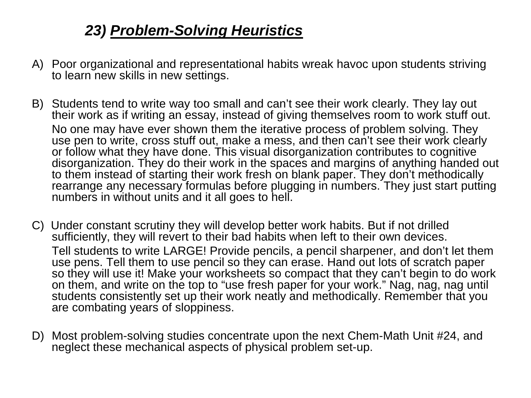#### *23) Problem-Solving Heuristics*

- A) Poor organizational and representational habits wreak havoc upon students striving to learn new skills in new settings.
- B) Students tend to write way too small and can't see their work clearly. They lay out their work as if writing an essay, instead of giving themselves room to work stuff out. No one may have ever shown them the iterative process of problem solving. They use pen to write, cross stuff out, make a mess, and then can't see their work clearly or follow what they have done. This visual disorganization contributes to cognitive disorganization. They do their work in the spaces and margins of anything handed out to them instead of starting their work fresh on blank paper. They don't methodically rearrange any necessary formulas before plugging in numbers. They just start putting numbers in without units and it all goes to hell.
- C) Under constant scrutiny they will develop better work habits. But if not drilled sufficiently, they will revert to their bad habits when left to their own devices. Tell students to write LARGE! Provide pencils, a pencil sharpener, and don't let them use pens. Tell them to use pencil so they can erase. Hand out lots of scratch paper so they will use it! Make your worksheets so compact that they can't begin to do work on them, and write on the top to "use fresh paper for your work." Nag, nag, nag until students consistently set up their work neatly and methodically. Remember that you are combating years of sloppiness.
- D) Most problem-solving studies concentrate upon the next Chem-Math Unit #24, and neglect these mechanical aspects of physical problem set-up.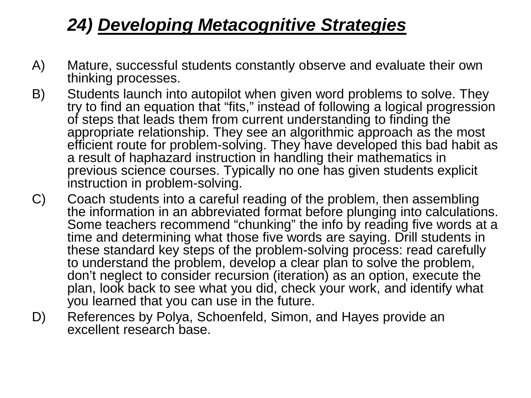# *24) Developing Metacognitive Strategies*

- A) Mature, successful students constantly observe and evaluate their own thinking processes.
- B) Students launch into autopilot when given word problems to solve. They try to find an equation that "fits," instead of following a logical progression of steps that leads them from current understanding to finding the appropriate relationship. They see an algorithmic approach as the most efficient route for problem-solving. They have developed this bad habit as a result of haphazard instruction in handling their mathematics in previous science courses. Typically no one has given students explicit instruction in problem-solving.
- C) Coach students into a careful reading of the problem, then assembling the information in an abbreviated format before plunging into calculations. Some teachers recommend "chunking" the info by reading five words at a time and determining what those five words are saying. Drill students in these standard key steps of the problem-solving process: read carefully to understand the problem, develop a clear plan to solve the problem, don't neglect to consider recursion (iteration) as an option, execute the plan, look back to see what you did, check your work, and identify what you learned that you can use in the future.
- D) References by Polya, Schoenfeld, Simon, and Hayes provide an excellent research base.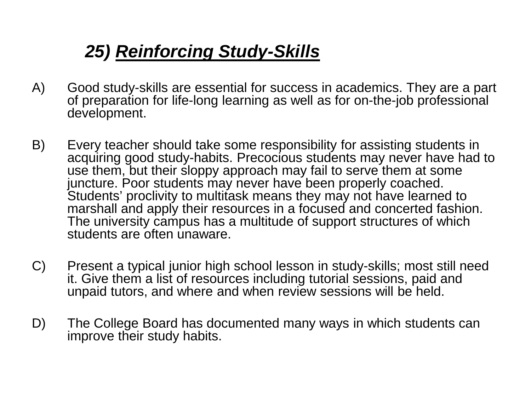# *25) Reinforcing Study-Skills*

- A) Good study-skills are essential for success in academics. They are a part of preparation for life-long learning as well as for on-the-job professional development.
- B) Every teacher should take some responsibility for assisting students in acquiring good study-habits. Precocious students may never have had to use them, but their sloppy approach may fail to serve them at some juncture. Poor students may never have been properly coached. Students' proclivity to multitask means they may not have learned to marshall and apply their resources in a focused and concerted fashion. The university campus has a multitude of support structures of which students are often unaware.
- C) Present a typical junior high school lesson in study-skills; most still need it. Give them a list of resources including tutorial sessions, paid and unpaid tutors, and where and when review sessions will be held.
- D) The College Board has documented many ways in which students can improve their study habits.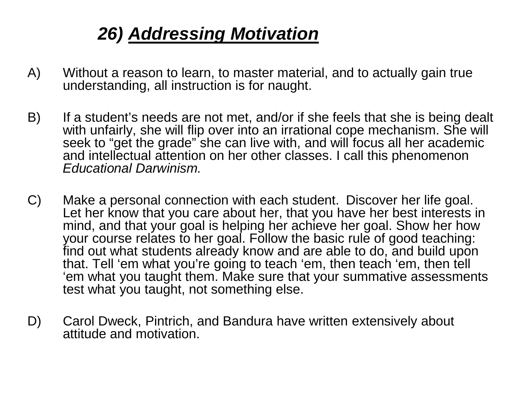## *26) Addressing Motivation*

- A) Without a reason to learn, to master material, and to actually gain true understanding, all instruction is for naught.
- B) If a student's needs are not met, and/or if she feels that she is being dealt with unfairly, she will flip over into an irrational cope mechanism. She will seek to "get the grade" she can live with, and will focus all her academic and intellectual attention on her other classes. I call this phenomenon *Educational Darwinism.*
- C) Make a personal connection with each student. Discover her life goal. Let her know that you care about her, that you have her best interests in mind, and that your goal is helping her achieve her goal. Show her how your course relates to her goal. Follow the basic rule of good teaching: find out what students already know and are able to do, and build upon that. Tell 'em what you're going to teach 'em, then teach 'em, then tell 'em what you taught them. Make sure that your summative assessments test what you taught, not something else.
- D) Carol Dweck, Pintrich, and Bandura have written extensively about attitude and motivation.